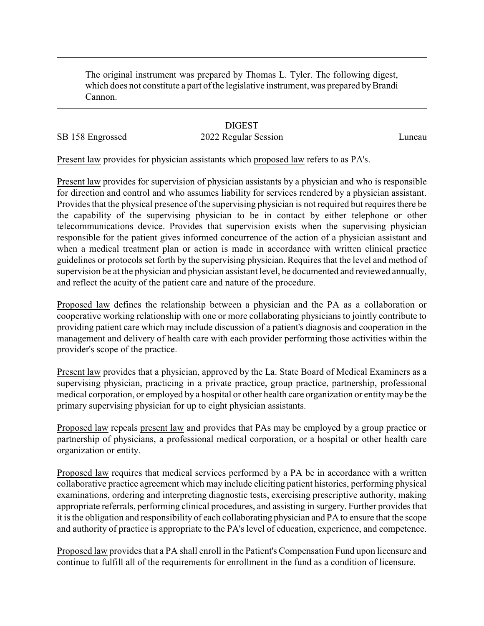The original instrument was prepared by Thomas L. Tyler. The following digest, which does not constitute a part of the legislative instrument, was prepared by Brandi Cannon.

## **DIGEST**

## SB 158 Engrossed 2022 Regular Session Luneau

Present law provides for physician assistants which proposed law refers to as PA's.

Present law provides for supervision of physician assistants by a physician and who is responsible for direction and control and who assumes liability for services rendered by a physician assistant. Provides that the physical presence of the supervising physician is not required but requires there be the capability of the supervising physician to be in contact by either telephone or other telecommunications device. Provides that supervision exists when the supervising physician responsible for the patient gives informed concurrence of the action of a physician assistant and when a medical treatment plan or action is made in accordance with written clinical practice guidelines or protocols set forth by the supervising physician. Requires that the level and method of supervision be at the physician and physician assistant level, be documented and reviewed annually, and reflect the acuity of the patient care and nature of the procedure.

Proposed law defines the relationship between a physician and the PA as a collaboration or cooperative working relationship with one or more collaborating physicians to jointly contribute to providing patient care which may include discussion of a patient's diagnosis and cooperation in the management and delivery of health care with each provider performing those activities within the provider's scope of the practice.

Present law provides that a physician, approved by the La. State Board of Medical Examiners as a supervising physician, practicing in a private practice, group practice, partnership, professional medical corporation, or employed by a hospital or other health care organization or entitymay be the primary supervising physician for up to eight physician assistants.

Proposed law repeals present law and provides that PAs may be employed by a group practice or partnership of physicians, a professional medical corporation, or a hospital or other health care organization or entity.

Proposed law requires that medical services performed by a PA be in accordance with a written collaborative practice agreement which may include eliciting patient histories, performing physical examinations, ordering and interpreting diagnostic tests, exercising prescriptive authority, making appropriate referrals, performing clinical procedures, and assisting in surgery. Further provides that it is the obligation and responsibility of each collaborating physician and PA to ensure that the scope and authority of practice is appropriate to the PA's level of education, experience, and competence.

Proposed law provides that a PA shall enroll in the Patient's Compensation Fund upon licensure and continue to fulfill all of the requirements for enrollment in the fund as a condition of licensure.